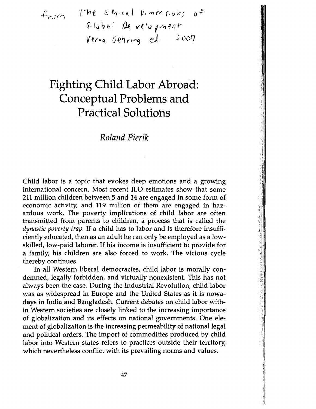*rV\e* E~;(t~,( V,v'I'1e>1(10YJj O-Pct-- <sup>j</sup>J Cf I *ve* (u f ~11 ~V1 f-Ver"~ G-e~'1t"9 eJ. *)uDl]* 

# **Fighting Child Labor Abroad: Conceptual Problems and Practical Solutions**

# *Roland Pierik*

Child labor is a topic that evokes deep emotions and a growing international concern. Most recent ILO estimates show that some 211 million children between 5 and 14 are engaged in some form of economic activity, and 119 million of them are engaged in hazardous work. The poverty implications of child labor are often transmitted from parents to children, a process that is called the *dynastic poverty trap.* If a child has to labor and is therefore insufficiently educated, then as an adult he can only be employed as a lowskilled, low-paid laborer. If his income is insufficient to provide for a family, his children are also forced to work. The vicious cycle thereby continues.

In all Western liberal democracies, child labor is morally condemned, legally forbidden, and virtually nonexistent. This has not always been the case. During the Industrial Revolution, child labor was as Widespread in Europe and the United States as it is nowadays in India and Bangladesh. Current debates on child labor within Western societies are closely linked to the increasing importance of globalization and its effects on national governments. One element of globalization is the increasing permeability of national legal and political orders. The import of commodities produced by child labor into Western states refers to practices outside their territory, which nevertheless conflict with its prevailing norms and values.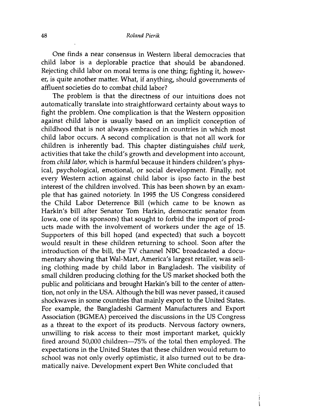One finds a near consensus in Western liberal democracies that child labor is a deplorable practice that should be abandoned. Rejecting child labor on moral terms is one thing; fighting it, however, is quite another matter. What, if anything, should governments of affluent societies do to combat child labor?

The problem is that the directness of our intuitions does not automatically translate into straightforward certainty about ways to fight the problem. One complication is that the Western opposition against child labor is usually based on an implicit conception of childhood that is not always embraced in countries in which most child labor occurs. A second complication is that not all work for children is inherently bad. This chapter distinguishes *child work,*  activities that take the child's growth and development into account, from *child labor,* which is harmful because it hinders children's physical, psychological, emotional, or social development. Finally, not every Western action against child labor is ipso facto in the best interest of the children involved. This has been shown by an example that has gained notoriety. In 1995 the US Congress considered the Child Labor Deterrence Bill (which carne to be known as Harkin's bill after Senator Tom Harkin, democratic senator from Iowa, one of its sponsors) that sought to forbid the import of products made with the involvement of workers under the age of 15. Supporters of this bill hoped (and expected) that such a boycott would result in these children returning to school. Soon after the introduction of the bill, the TV channel NBC broadcasted a documentary showing that Wal-Mart, America's largest retailer, was selling clothing made by child labor in Bangladesh. The visibility of small children producing clothing for the US market shocked both the public and politicians and brought Harkin's bill to the center of attention, not only in the USA. Although the bill was never passed, it caused shockwaves in some countries that mainly export to the United States. For example, the Bangladeshi Garment Manufacturers and Export Association (BGMEA) perceived the discussions in the US Congress as a threat to the export of its products. Nervous factory owners, unwilling to risk access to their most important market, quickly fired around 50,000 children-75% of the total then employed. The expectations in the United States that these children would return to school was not only overly optimistic, it also turned out to be dramatically naive. Development expert Ben White concluded that

> $\frac{1}{2}$  $\label{eq:2} \frac{1}{2} \int_{0}^{2\pi} \frac{1}{2} \left( \frac{1}{2} \right)^{2} \left( \frac{1}{2} \right)^{2} \left( \frac{1}{2} \right)^{2} \left( \frac{1}{2} \right)^{2} \left( \frac{1}{2} \right)^{2} \left( \frac{1}{2} \right)^{2} \left( \frac{1}{2} \right)^{2} \left( \frac{1}{2} \right)^{2} \left( \frac{1}{2} \right)^{2} \left( \frac{1}{2} \right)^{2} \left( \frac{1}{2} \right)^{2} \left( \frac{1}{2} \right)^$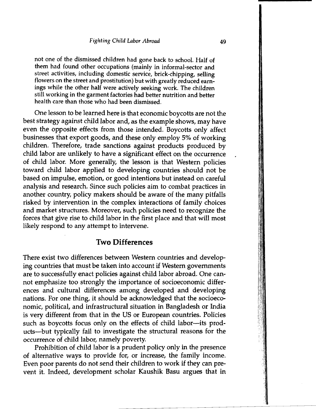not one of the dismissed children had gone back to school. Half of them had found other occupations (mainly in informal-sector and street activities, including domestic service, brick-chipping, selling flowers on the street and prostitution) but with greatly reduced earn ings while the other half were actively seeking work. The children still working in the garment factories had better nutrition and better health care than those who had been dismissed.

One lesson to be learned here is that economic boycotts are not the best strategy against child labor and, as the example shows, may have even the opposite effects from those intended. Boycotts only affect businesses that export goods, and these only employ 5% of working children. Therefore, trade sanctions against products produced by child labor are unlikely to have a significant effect on the occurrence of child labor. More generally, the lesson is that Western policies toward child labor applied to developing countries should not be based on impulse, emotion, or good intentions but instead on careful analysis and research. Since such policies aim to combat practices in another country, policy makers should be aware of the many pitfalls risked by intervention in the complex interactions of family choices and market structures. Moreover, such policies need to recognize the forces that give rise to child labor in the first place and that will most likely respond to any attempt to intervene.

### **Two Differences**

There exist two differences between Western countries and developing countries that must be taken into account if Western governments are to successfully enact policies against child labor abroad. One cannot emphasize too strongly the importance of socioeconomic differences and cultural differences among developed and developing nations. For one thing, it should be acknowledged that the socioeconomic, political, and infrastructural situation in Bangladesh or India is very different from that in the US or European countries. Policies such as boycotts focus only on the effects of child labor--its products-but typically fail to investigate the structural reasons for the occurrence of child labor, namely poverty.

Prohibition of child labor is a prudent policy only in the presence of alternative ways to provide for, or increase, the family income. Even poor parents do not send their children to work if they can prevent it. Indeed, development scholar Kaushik Basu argues that in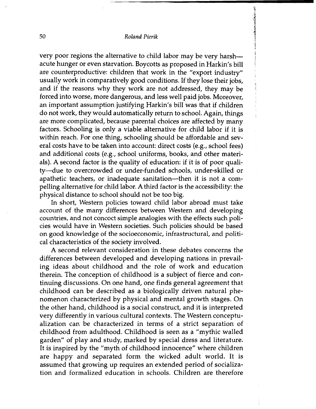#### 50 *Roland Pierik*

very poor regions the alternative to child labor may be very harshacute hunger or even starvation. Boycotts as proposed in Harkin's bill are counterproductive: children that work in the "export industry" usually work in comparatively good conditions. If they lose their jobs, and if the reasons why they work are not addressed, they may be forced into worse, more dangerous, and less well paid jobs. Moreover, an important assumption justifying Harkin's bill was that if children do not work, they would automatically return to school. Again, things are more complicated, because parental choices are affected by many factors. Schooling is only a viable alternative for child labor if it is within reach. For one thing, schooling should be affordable and several costs have to be taken into account: direct costs (e.g., school fees) and additional costs (e.g., school uniforms, books, and other materials). A second factor is the quality of education: if it is of poor quality-due to overcrowded or under-funded schools, under-skilled or apathetic teachers, or inadequate sanitation--then it is not a compelling alternative for child labor. A third factor is the accessibility: the physical distance to school should not be too big.

计计算机 医静脉

In short, Western policies toward child labor abroad must take account of the many differences between Western and developing countries, and not concoct simple analogies with the effects such policies would have in Western societies. Such policies should be based on good knowledge of the socioeconomic, infrastructural, and political characteristics of the society involved.

A second relevant consideration in these debates concerns the differences between developed and developing nations in prevailing ideas about childhood and the role of work and education therein. The conception of childhood is a subject of fierce and continuing discussions. On one hand, one finds general agreement that childhood can be described as a biologically driven natural phenomenon characterized by physical and mental growth stages. On the other hand, childhood is a social construct, and it is interpreted very differently in various cultural contexts. The Western conceptualization can be characterized in terms of a strict separation of childhood from adulthood. Childhood is seen as a "mythic walled garden" of play and study, marked by special dress and literature. It is inspired by the "myth of childhood innocence" where children are happy and separated form the wicked adult world. It is assumed that growing up requires an extended period of socialization and formalized education in schools. Children are therefore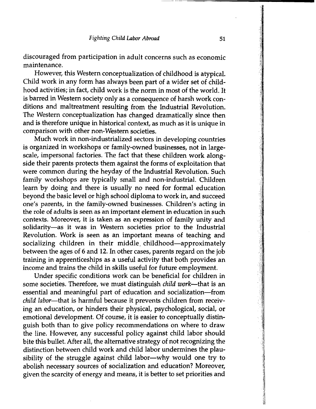discouraged from participation in adult concerns such as economic maintenance.

However, this Western conceptualization of childhood is atypical. Child work in any form has always been part of a wider set of childhood activities; in fact, child work is the norm in most of the world. It is barred in Western society only as a consequence of harsh work conditions and maltreatment resulting from the Industrial Revolution. The Western conceptualization has changed dramatically since then and is therefore unique in historical context, as much as it is unique in comparison with other non-Western societies.

Much work in non-industrialized sectors in developing countries is organized in workshops or family-owned businesses, not in largescale, impersonal factories. The fact that these children work alongside their parents protects them against the forms of exploitation that were common during the heyday of the Industrial Revolution. Such family workshops are typically small and non-industrial. Children learn by doing and there is usually no need for formal education beyond the basic level or high school diploma to work in, and succeed one's parents, in the family-owned businesses. Children's acting in the role of adults is seen as an important element in education in such contexts. Moreover, it is taken as an expression of family unity and solidarity-as it was in Western societies prior to the Industrial Revolution. Work is seen as an important means of teaching and socializing children in their middle childhood-approximately between the ages of 6 and 12. In other cases, parents regard on the job training in apprenticeships as a useful activity that both provides an income and trains the child in skills useful for future employment.

Under specific conditions work can be beneficial for children in some societies. Therefore, we must distinguish *child work*-that is an essential and meaningful part of education and socialization-from *child labor-that* is harmful because it prevents children from receiving an education, or hinders their physical, psychological, social, or emotional development. Of course, it is easier to conceptually distinguish both than to give policy recommendations on where to draw the line. However, any successful policy against child labor should bite this bullet. After all, the alternative strategy of not recognizing the distinction between child work and child labor undermines the plausibility of the struggle against child labor-why would one try to abolish necessary sources of socialization and education? Moreover, given the scarcity of energy and means, it is better to set priorities and

----------------------------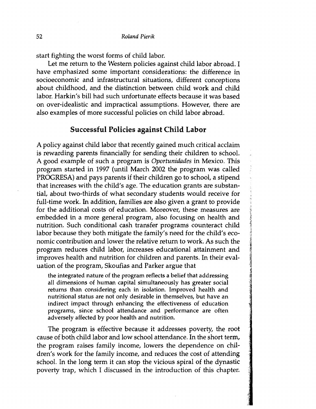start fighting the worst forms of child labor.

Let me return to the Western policies against child labor abroad. I have emphasized some important considerations: the difference in socioeconomic and infrastructural situations, different conceptions about childhood, and the distinction between child work and child labor. Harkin's bill had such unfortunate effects because it was based on over-idealistic and impractical assumptions. However, there are also examples of more successful policies on child labor abroad.

## **Successful Policies against Child Labor**

A policy against child labor that recently gained much critical acclaim is rewarding parents financially for sending their children to school. A good example of such a program is *Oportunidades* in Mexico. This program started in 1997 (until March 2002 the program was called PROGRESA) and pays parents if their children go to school, a stipend that increases with the child's age. The education grants are substantial, about two-thirds of what secondary students would receive for full-time work. In addition, families are also given a grant to provide for the additional costs of education. Moreover, these measures are embedded in a more general program, also focusing on health and nutrition. Such conditional cash transfer programs counteract child labor because they both mitigate the family's need for the child's economic contribution and lower the relative return to work. As such the program reduces child labor, increases educational attainment and improves health and nutrition for children and parents. In their evaluation of the program, Skoufias and Parker argue that

the integrated nature of the program reflects a belief that addressing all dimensions of human capital simultaneously has greater social returns than considering each in isolation. Improved health and nutritional status are not only desirable in themselves, but have an indirect impact through enhancing the effectiveness of education programs, since school attendance and performance are often adversely affected by poor health and nutrition.

The program is effective because it addresses poverty, the root cause of both child labor and low school attendance. In the short term, the program raises family income, lowers the dependence on children's work for the family income, and reduces the cost of attending school. In the long term it can stop the vicious spiral of the dynastic poverty trap, which I discussed in the introduction of this chapter.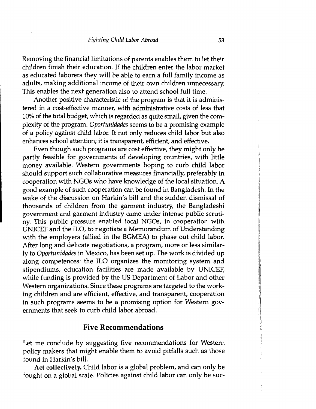Removing the financial limitations of parents enables them to let their children finish their education. If the children enter the labor market as educated laborers they will be able to earn a full family income as adults, making additional income of their own children unnecessary. This enables the next generation also to attend school full time.

Another positive characteristic of the program is that it is administered in a cost-effective manner, with administrative costs of less that 10% of the total budget, which is regarded as quite small, given the complexity of the program. *Oportunidades* seems to be a promising example of a policy against child labor. It not only reduces child labor but also enhances school attention; it is transparent, efficient, and effective.

Even though such programs are cost effective, they might only be partly feasible for governments of developing countries, with little money available. Western governments hoping to curb child labor should support such collaborative measures financially, preferably in cooperation with NGOs who have knowledge of the local situation. A good example of such cooperation can be found in Bangladesh. In the wake of the discussion on Harkin's bill and the sudden dismissal of thousands of children from the garment industry, the Bangladeshi government and garment industry came under intense public scrutiny. This public pressure enabled local NGOs, in cooperation with UNICEF and the ILO, to negotiate a Memorandum of Understanding with the employers (allied in the BGMEA) to phase out child labor. After long and delicate negotiations, a program, more or less similarly to *Oportunidades* in Mexico, has been set up. The work is divided up along competences: the ILO organizes the monitoring system and stipendiums, education facilities are made available by UNICEF, while funding is provided by the US Department of Labor and other Western organizations. Since these programs are targeted to the working children and are efficient, effective, and transparent, cooperation in such programs seems to be a promising option for Western governments that seek to curb child labor abroad.

## **Five Recommendations**

Let me conclude by suggesting five recommendations for Western policy makers that might enable them to avoid pitfalls such as those found in Harkin's bill.

Act collectively. Child labor is a global problem, and can only be fought on a global scale. Policies against child labor can only be suc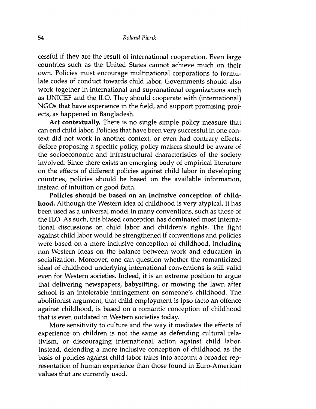cessful if they are the result of international cooperation. Even large countries such as the United States cannot achieve much on their own. Policies must encourage multinational corporations to formulate codes of conduct towards child labor. Governments should also work together in international and supranational organizations such as UNICEF and the ILO. They should cooperate with (international) NGOs that have experience in the field, and support promising projects, as happened in Bangladesh.

**Act contextually.** There is no single simple policy measure that can end child labor. Policies that have been very successful in one context did not work in another context, or even had contrary effects. Before proposing a specific policy, policy makers should be aware of the socioeconomic and infrastructural characteristics of the society involved. Since there exists an emerging body of empirical literature on the effects of different policies against child labor in developing countries, policies should be based on the available information, instead of intuition or good faith.

**Policies should be based on an inclusive conception of childhood.** Although the Western idea of childhood is very atypical, it has been used as a universal model in many conventions, such as those of the ILO. As such, this biased conception has dominated most international discussions on child labor and children's rights. The fight against child labor would be strengthened if conventions and policies were based on a more inclusive conception of childhood, including non-Western ideas on the balance between work and education in socialization. Moreover, one can question whether the romanticized ideal of childhood underlying international conventions is still valid even for Western societies. Indeed, it is an extreme position to argue that delivering newspapers, babysitting, or mowing the lawn after school is an intolerable infringement on someone's childhood. The abolitionist argument, that child employment is ipso facto an offence against childhood, is based on a romantic conception of childhood that is even outdated in Western societies today.

More sensitivity to culture and the way it mediates the effects of experience on children is not the same as defending cultural relativism, or discouraging international action against child labor. Instead, defending a more inclusive conception of childhood as the basis of policies against child labor takes into account a broader representation of human experience than those found in Euro-American values that are currently used.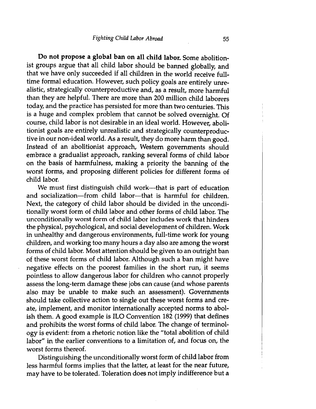Do not propose a global ban on all child labor. Some abolitionist groups argue that all child labor should be banned globally, and that we have only succeeded if all children in the world receive fulltime formal education. However, such policy goals are entirely unrealistic, strategically counterproductive and, as a result, more harmful than they are helpful. There are more than 200 million child laborers today, and the practice has persisted for more than two centuries. This is a huge and complex problem that cannot be solved overnight. Of course, child labor is not desirable in an ideal world. However, abolitionist goals are entirely unrealistic and strategically counterproductive in our non-ideal world. As a result, they do more harm than good. Instead of an abolitionist approach, Western governments should embrace a gradualist approach, ranking several forms of child labor on the basis of harmfulness, making a priority the banning of the worst forms, and proposing different policies for different forms of child labor.

We must first distinguish child work--that is part of education and socialization-from child labor--that is harmful for children. Next, the category of child labor should be divided in the unconditionally worst form of child labor and other forms of child labor. The unconditionally worst form of child labor includes work that hinders the physical, psychological, and social development of children. Work in unhealthy and dangerous environments, full-time work for young children, and working too many hours a day also are among the worst forms of child labor. Most attention should be given to an outright ban of these worst forms of child labor. Although such a ban might have negative effects on the poorest families in the short run, it seems pointless to allow dangerous labor for children who cannot properly assess the long-term damage these jobs can cause (and whose parents also may be unable to make such an assessment). Governments should take collective action to single out these worst forms and create, implement, and monitor internationally accepted norms to abolish them. A good example is ILO Convention 182 (1999) that defines and prohibits the worst forms of child labor. The change of terminology is evident: from a rhetoric notion like the "total abolition of child labor" in the earlier conventions to a limitation of, and focus on, the worst forms thereof.

Distinguishing the unconditionally worst form of child labor from less harmful forms implies that the latter, at least for the near future, may have to be tolerated. Toleration does not imply indifference but a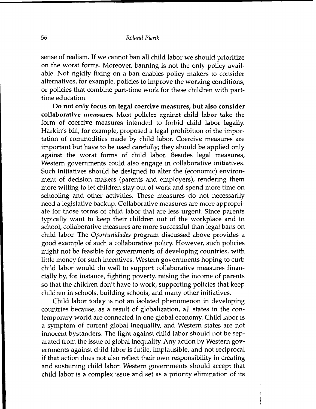sense of realism. If we cannot ban all child labor we should prioritize on the worst forms. Moreover, banning is not the only policy available. Not rigidly fixing on a ban enables policy makers to consider alternatives, for example, policies to improve the working conditions, or policies that combine part-time work for these children with parttime education.

Do not only focus on legal coercive measures, but also consider collaborative measures. Most policies against child labor take the form of coercive measures intended to forbid child labor legally. Harkin's bill, for example, proposed a legal prohibition of the importation of commodities made by child labor. Coercive measures are important but have to be used carefully; they should be applied only against the worst forms of child labor. Besides legal measures, Western governments could also engage in collaborative initiatives. Such initiatives should be designed to alter the (economic) environment of decision makers (parents and employers), rendering them more willing to let children stay out of work and spend more time on schooling and other activities. These measures do not necessarily need a legislative backup. Collaborative measures are more appropriate for those forms of child labor that are less urgent. Since parents typically want to keep their children out of the workplace and in school, collaborative measures are more successful than legal bans on child labor. The *Oportunidades* program discussed above provides a good example of such a collaborative policy. However, such policies might not be feasible for governments of developing countries, with little money for such incentives. Western governments hoping to curb child labor would do well to support collaborative measures financially by, for instance, fighting poverty, raising the income of parents so that the children don't have to work, supporting policies that keep children in schools, building schools, and many other initiatives.

Child labor today is not an isolated phenomenon in developing countries because, as a result of globalization, all states in the contemporary world are connected in one global economy. Child labor is a symptom of current global inequality, and Western states are not innocent bystanders. The fight against child labor should not be separated from the issue of global inequality. Any action by Western governments against child labor is futile, implausible, and not reciprocal if that action does not also reflect their own responsibility in creating and sustaining child labor. Western governments should accept that child labor is a complex issue and set as a priority elimination of its

ن<br>په